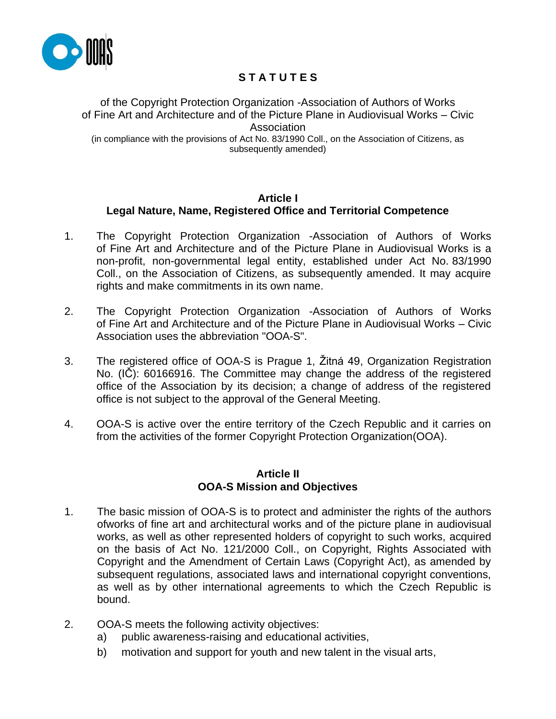

# **S T A T U T E S**

of the Copyright Protection Organization -Association of Authors of Works of Fine Art and Architecture and of the Picture Plane in Audiovisual Works – Civic Association (in compliance with the provisions of Act No. 83/1990 Coll., on the Association of Citizens, as subsequently amended)

# **Article I**

# **Legal Nature, Name, Registered Office and Territorial Competence**

- 1. The Copyright Protection Organization -Association of Authors of Works of Fine Art and Architecture and of the Picture Plane in Audiovisual Works is a non-profit, non-governmental legal entity, established under Act No. 83/1990 Coll., on the Association of Citizens, as subsequently amended. It may acquire rights and make commitments in its own name.
- 2. The Copyright Protection Organization -Association of Authors of Works of Fine Art and Architecture and of the Picture Plane in Audiovisual Works – Civic Association uses the abbreviation "OOA-S".
- 3. The registered office of OOA-S is Prague 1, Žitná 49, Organization Registration No. (IČ): 60166916. The Committee may change the address of the registered office of the Association by its decision; a change of address of the registered office is not subject to the approval of the General Meeting.
- 4. OOA-S is active over the entire territory of the Czech Republic and it carries on from the activities of the former Copyright Protection Organization(OOA).

#### **Article II OOA-S Mission and Objectives**

- 1. The basic mission of OOA-S is to protect and administer the rights of the authors ofworks of fine art and architectural works and of the picture plane in audiovisual works, as well as other represented holders of copyright to such works, acquired on the basis of Act No. 121/2000 Coll., on Copyright, Rights Associated with Copyright and the Amendment of Certain Laws (Copyright Act), as amended by subsequent regulations, associated laws and international copyright conventions, as well as by other international agreements to which the Czech Republic is bound.
- 2. OOA-S meets the following activity objectives:
	- a) public awareness-raising and educational activities,
	- b) motivation and support for youth and new talent in the visual arts,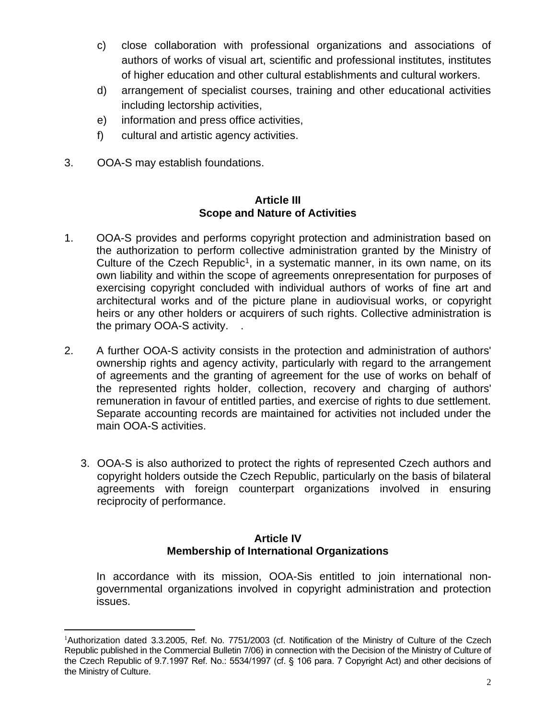- c) close collaboration with professional organizations and associations of authors of works of visual art, scientific and professional institutes, institutes of higher education and other cultural establishments and cultural workers.
- d) arrangement of specialist courses, training and other educational activities including lectorship activities,
- e) information and press office activities,
- f) cultural and artistic agency activities.
- 3. OOA-S may establish foundations.

#### **Article III Scope and Nature of Activities**

- 1. OOA-S provides and performs copyright protection and administration based on the authorization to perform collective administration granted by the Ministry of Culture of the Czech Republic<sup>1</sup>, in a systematic manner, in its own name, on its own liability and within the scope of agreements onrepresentation for purposes of exercising copyright concluded with individual authors of works of fine art and architectural works and of the picture plane in audiovisual works, or copyright heirs or any other holders or acquirers of such rights. Collective administration is the primary OOA-S activity. .
- 2. A further OOA-S activity consists in the protection and administration of authors' ownership rights and agency activity, particularly with regard to the arrangement of agreements and the granting of agreement for the use of works on behalf of the represented rights holder, collection, recovery and charging of authors' remuneration in favour of entitled parties, and exercise of rights to due settlement. Separate accounting records are maintained for activities not included under the main OOA-S activities.
	- 3. OOA-S is also authorized to protect the rights of represented Czech authors and copyright holders outside the Czech Republic, particularly on the basis of bilateral agreements with foreign counterpart organizations involved in ensuring reciprocity of performance.

# **Article IV Membership of International Organizations**

In accordance with its mission, OOA-Sis entitled to join international nongovernmental organizations involved in copyright administration and protection issues.

<sup>1</sup>Authorization dated 3.3.2005, Ref. No. 7751/2003 (cf. Notification of the Ministry of Culture of the Czech Republic published in the Commercial Bulletin 7/06) in connection with the Decision of the Ministry of Culture of the Czech Republic of 9.7.1997 Ref. No.: 5534/1997 (cf. § 106 para. 7 Copyright Act) and other decisions of the Ministry of Culture.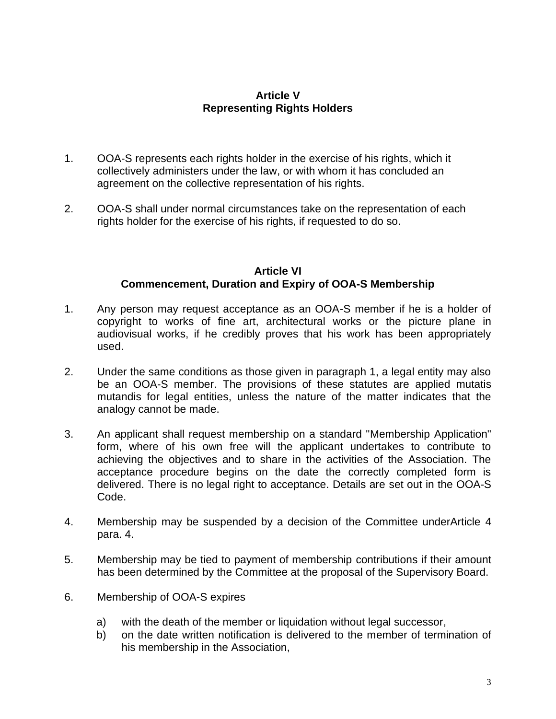# **Article V Representing Rights Holders**

- 1. OOA-S represents each rights holder in the exercise of his rights, which it collectively administers under the law, or with whom it has concluded an agreement on the collective representation of his rights.
- 2. OOA-S shall under normal circumstances take on the representation of each rights holder for the exercise of his rights, if requested to do so.

#### **Article VI Commencement, Duration and Expiry of OOA-S Membership**

- 1. Any person may request acceptance as an OOA-S member if he is a holder of copyright to works of fine art, architectural works or the picture plane in audiovisual works, if he credibly proves that his work has been appropriately used.
- 2. Under the same conditions as those given in paragraph 1, a legal entity may also be an OOA-S member. The provisions of these statutes are applied mutatis mutandis for legal entities, unless the nature of the matter indicates that the analogy cannot be made.
- 3. An applicant shall request membership on a standard "Membership Application" form, where of his own free will the applicant undertakes to contribute to achieving the objectives and to share in the activities of the Association. The acceptance procedure begins on the date the correctly completed form is delivered. There is no legal right to acceptance. Details are set out in the OOA-S Code.
- 4. Membership may be suspended by a decision of the Committee underArticle 4 para. 4.
- 5. Membership may be tied to payment of membership contributions if their amount has been determined by the Committee at the proposal of the Supervisory Board.
- 6. Membership of OOA-S expires
	- a) with the death of the member or liquidation without legal successor,
	- b) on the date written notification is delivered to the member of termination of his membership in the Association,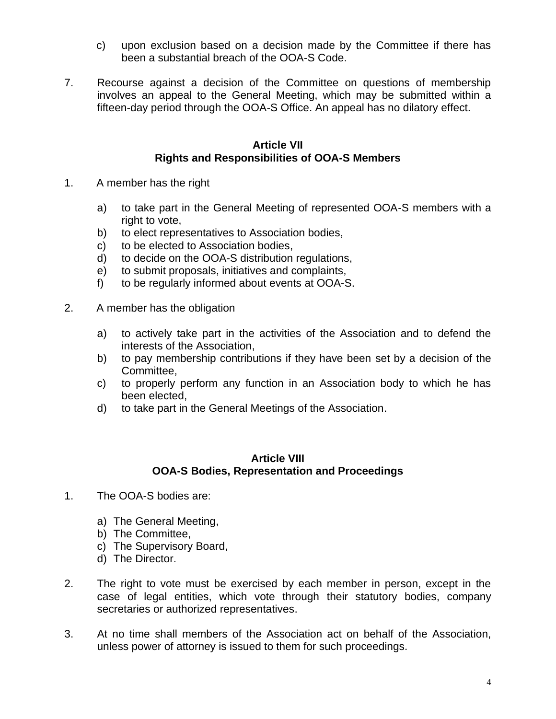- c) upon exclusion based on a decision made by the Committee if there has been a substantial breach of the OOA-S Code.
- 7. Recourse against a decision of the Committee on questions of membership involves an appeal to the General Meeting, which may be submitted within a fifteen-day period through the OOA-S Office. An appeal has no dilatory effect.

#### **Article VII Rights and Responsibilities of OOA-S Members**

- 1. A member has the right
	- a) to take part in the General Meeting of represented OOA-S members with a right to vote,
	- b) to elect representatives to Association bodies,
	- c) to be elected to Association bodies,
	- d) to decide on the OOA-S distribution regulations,
	- e) to submit proposals, initiatives and complaints,
	- f) to be regularly informed about events at OOA-S.
- 2. A member has the obligation
	- a) to actively take part in the activities of the Association and to defend the interests of the Association,
	- b) to pay membership contributions if they have been set by a decision of the Committee,
	- c) to properly perform any function in an Association body to which he has been elected,
	- d) to take part in the General Meetings of the Association.

#### **Article VIII OOA-S Bodies, Representation and Proceedings**

- 1. The OOA-S bodies are:
	- a) The General Meeting,
	- b) The Committee,
	- c) The Supervisory Board,
	- d) The Director.
- 2. The right to vote must be exercised by each member in person, except in the case of legal entities, which vote through their statutory bodies, company secretaries or authorized representatives.
- 3. At no time shall members of the Association act on behalf of the Association, unless power of attorney is issued to them for such proceedings.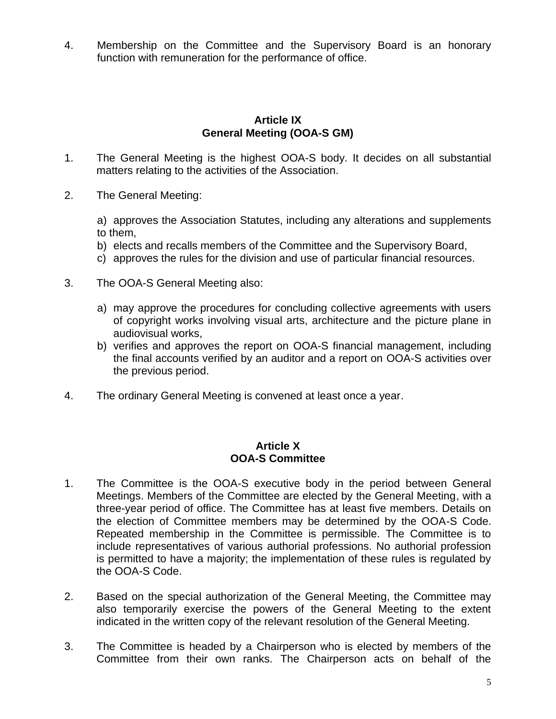4. Membership on the Committee and the Supervisory Board is an honorary function with remuneration for the performance of office.

# **Article IX General Meeting (OOA-S GM)**

- 1. The General Meeting is the highest OOA-S body. It decides on all substantial matters relating to the activities of the Association.
- 2. The General Meeting:

a) approves the Association Statutes, including any alterations and supplements to them,

- b) elects and recalls members of the Committee and the Supervisory Board,
- c) approves the rules for the division and use of particular financial resources.
- 3. The OOA-S General Meeting also:
	- a) may approve the procedures for concluding collective agreements with users of copyright works involving visual arts, architecture and the picture plane in audiovisual works,
	- b) verifies and approves the report on OOA-S financial management, including the final accounts verified by an auditor and a report on OOA-S activities over the previous period.
- 4. The ordinary General Meeting is convened at least once a year.

#### **Article X OOA-S Committee**

- 1. The Committee is the OOA-S executive body in the period between General Meetings. Members of the Committee are elected by the General Meeting, with a three-year period of office. The Committee has at least five members. Details on the election of Committee members may be determined by the OOA-S Code. Repeated membership in the Committee is permissible. The Committee is to include representatives of various authorial professions. No authorial profession is permitted to have a majority; the implementation of these rules is regulated by the OOA-S Code.
- 2. Based on the special authorization of the General Meeting, the Committee may also temporarily exercise the powers of the General Meeting to the extent indicated in the written copy of the relevant resolution of the General Meeting.
- 3. The Committee is headed by a Chairperson who is elected by members of the Committee from their own ranks. The Chairperson acts on behalf of the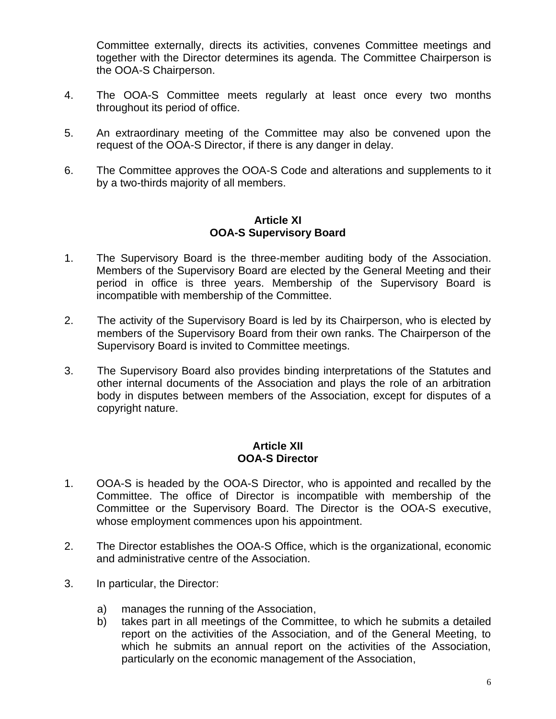Committee externally, directs its activities, convenes Committee meetings and together with the Director determines its agenda. The Committee Chairperson is the OOA-S Chairperson.

- 4. The OOA-S Committee meets regularly at least once every two months throughout its period of office.
- 5. An extraordinary meeting of the Committee may also be convened upon the request of the OOA-S Director, if there is any danger in delay.
- 6. The Committee approves the OOA-S Code and alterations and supplements to it by a two-thirds majority of all members.

# **Article XI OOA-S Supervisory Board**

- 1. The Supervisory Board is the three-member auditing body of the Association. Members of the Supervisory Board are elected by the General Meeting and their period in office is three years. Membership of the Supervisory Board is incompatible with membership of the Committee.
- 2. The activity of the Supervisory Board is led by its Chairperson, who is elected by members of the Supervisory Board from their own ranks. The Chairperson of the Supervisory Board is invited to Committee meetings.
- 3. The Supervisory Board also provides binding interpretations of the Statutes and other internal documents of the Association and plays the role of an arbitration body in disputes between members of the Association, except for disputes of a copyright nature.

#### **Article XII OOA-S Director**

- 1. OOA-S is headed by the OOA-S Director, who is appointed and recalled by the Committee. The office of Director is incompatible with membership of the Committee or the Supervisory Board. The Director is the OOA-S executive, whose employment commences upon his appointment.
- 2. The Director establishes the OOA-S Office, which is the organizational, economic and administrative centre of the Association.
- 3. In particular, the Director:
	- a) manages the running of the Association,
	- b) takes part in all meetings of the Committee, to which he submits a detailed report on the activities of the Association, and of the General Meeting, to which he submits an annual report on the activities of the Association, particularly on the economic management of the Association,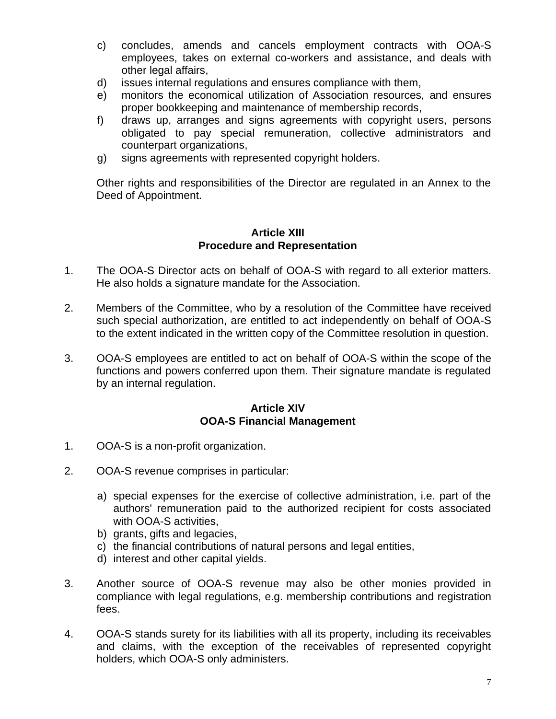- c) concludes, amends and cancels employment contracts with OOA-S employees, takes on external co-workers and assistance, and deals with other legal affairs,
- d) issues internal regulations and ensures compliance with them,
- e) monitors the economical utilization of Association resources, and ensures proper bookkeeping and maintenance of membership records,
- f) draws up, arranges and signs agreements with copyright users, persons obligated to pay special remuneration, collective administrators and counterpart organizations,
- g) signs agreements with represented copyright holders.

Other rights and responsibilities of the Director are regulated in an Annex to the Deed of Appointment.

## **Article XIII Procedure and Representation**

- 1. The OOA-S Director acts on behalf of OOA-S with regard to all exterior matters. He also holds a signature mandate for the Association.
- 2. Members of the Committee, who by a resolution of the Committee have received such special authorization, are entitled to act independently on behalf of OOA-S to the extent indicated in the written copy of the Committee resolution in question.
- 3. OOA-S employees are entitled to act on behalf of OOA-S within the scope of the functions and powers conferred upon them. Their signature mandate is regulated by an internal regulation.

# **Article XIV OOA-S Financial Management**

- 1. OOA-S is a non-profit organization.
- 2. OOA-S revenue comprises in particular:
	- a) special expenses for the exercise of collective administration, i.e. part of the authors' remuneration paid to the authorized recipient for costs associated with OOA-S activities,
	- b) grants, gifts and legacies,
	- c) the financial contributions of natural persons and legal entities,
	- d) interest and other capital yields.
- 3. Another source of OOA-S revenue may also be other monies provided in compliance with legal regulations, e.g. membership contributions and registration fees.
- 4. OOA-S stands surety for its liabilities with all its property, including its receivables and claims, with the exception of the receivables of represented copyright holders, which OOA-S only administers.